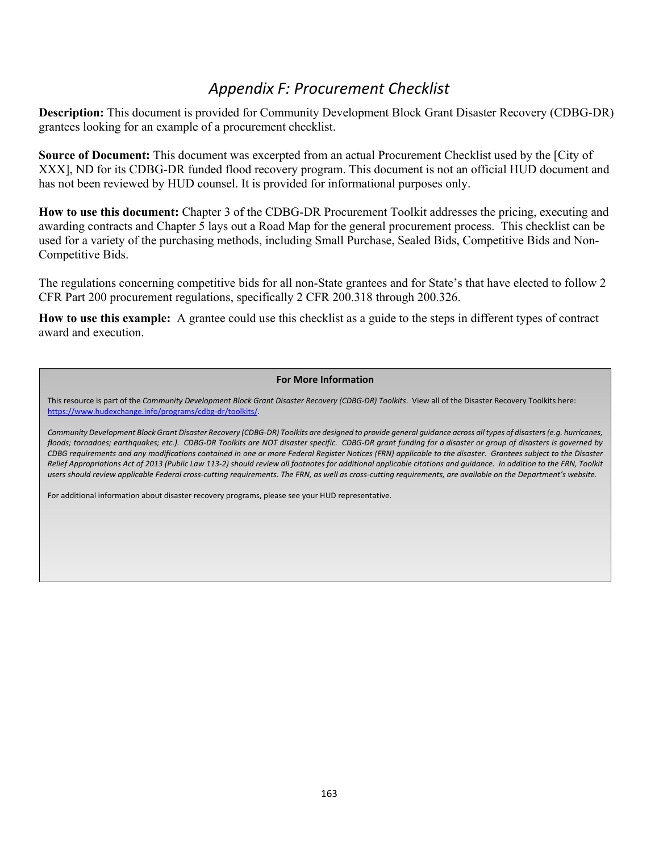## *Appendix F: Procurement Checklist*

**Description:** This document is provided for Community Development Block Grant Disaster Recovery (CDBG-DR) grantees looking for an example of a procurement checklist.

**Source of Document:** This document was excerpted from an actual Procurement Checklist used by the [City of XXX], ND for its CDBG-DR funded flood recovery program. This document is not an official HUD document and has not been reviewed by HUD counsel. It is provided for informational purposes only.

**How to use this document:** Chapter 3 of the CDBG-DR Procurement Toolkit addresses the pricing, executing and awarding contracts and Chapter 5 lays out a Road Map for the general procurement process. This checklist can be used for a variety of the purchasing methods, including Small Purchase, Sealed Bids, Competitive Bids and Non-Competitive Bids.

The regulations concerning competitive bids for all non-State grantees and for State's that have elected to follow 2 CFR Part 200 procurement regulations, specifically 2 CFR 200.318 through 200.326.

**How to use this example:** A grantee could use this checklist as a guide to the steps in different types of contract award and execution.

## **For More Information**

This resource is part of the *Community Development Block Grant Disaster Recovery (CDBG-DR) Toolkits*. View all of the Disaster Recovery Toolkits here: [https://www.hudexchange.info/programs/cdbg-dr/toolkits/.](https://www.hudexchange.info/programs/cdbg-dr/toolkits/program-launch/)

*Community Development Block Grant Disaster Recovery (CDBG-DR) Toolkits are designed to provide general guidance across all types of disasters (e.g. hurricanes, floods; tornadoes; earthquakes; etc.). CDBG-DR Toolkits are NOT disaster specific. CDBG-DR grant funding for a disaster or group of disasters is governed by CDBG requirements and any modifications contained in one or more Federal Register Notices (FRN) applicable to the disaster. Grantees subject to the Disaster Relief Appropriations Act of 2013 (Public Law 113-2) should review all footnotes for additional applicable citations and guidance. In addition to the FRN, Toolkit users should review applicable Federal cross-cutting requirements. The FRN, as well as cross-cutting requirements, are available on the Department's website.*

For additional information about disaster recovery programs, please see your HUD representative.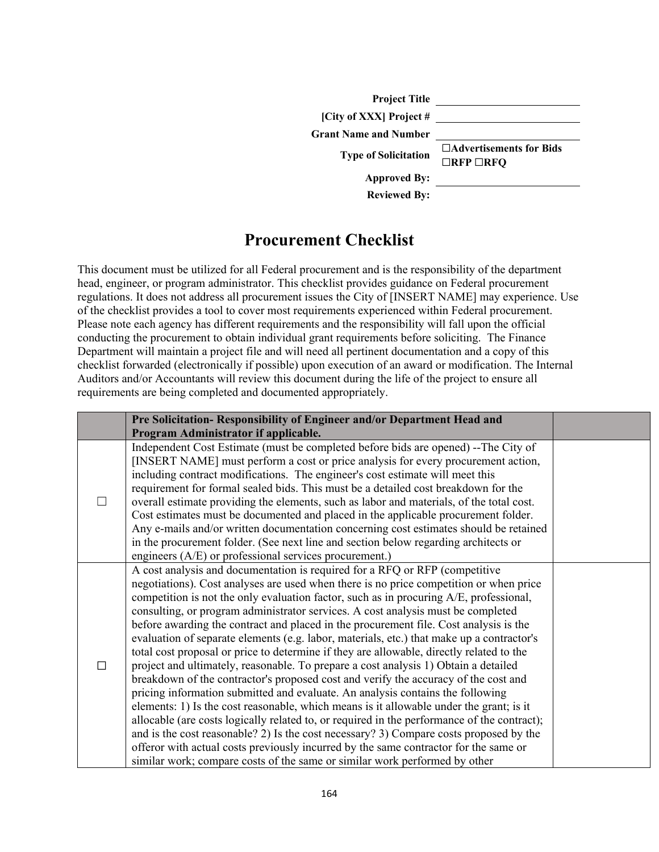| <b>Project Title</b>         |                                                   |
|------------------------------|---------------------------------------------------|
| [City of XXX] Project #      |                                                   |
| <b>Grant Name and Number</b> |                                                   |
| <b>Type of Solicitation</b>  | □Advertisements for Bids<br>$\Box$ RFP $\Box$ RFQ |
| <b>Approved By:</b>          |                                                   |
| <b>Reviewed By:</b>          |                                                   |

## **Procurement Checklist**

This document must be utilized for all Federal procurement and is the responsibility of the department head, engineer, or program administrator. This checklist provides guidance on Federal procurement regulations. It does not address all procurement issues the City of [INSERT NAME] may experience. Use of the checklist provides a tool to cover most requirements experienced within Federal procurement. Please note each agency has different requirements and the responsibility will fall upon the official conducting the procurement to obtain individual grant requirements before soliciting. The Finance Department will maintain a project file and will need all pertinent documentation and a copy of this checklist forwarded (electronically if possible) upon execution of an award or modification. The Internal Auditors and/or Accountants will review this document during the life of the project to ensure all requirements are being completed and documented appropriately.

| Pre Solicitation- Responsibility of Engineer and/or Department Head and                                                                                                                                                                                                                                                                                                                                                                                                                                                                                                                                                                                                                                                                                                                                                                                                                                                                                                                                                                                                                                                                                                                                                                                                                                                                                         |  |
|-----------------------------------------------------------------------------------------------------------------------------------------------------------------------------------------------------------------------------------------------------------------------------------------------------------------------------------------------------------------------------------------------------------------------------------------------------------------------------------------------------------------------------------------------------------------------------------------------------------------------------------------------------------------------------------------------------------------------------------------------------------------------------------------------------------------------------------------------------------------------------------------------------------------------------------------------------------------------------------------------------------------------------------------------------------------------------------------------------------------------------------------------------------------------------------------------------------------------------------------------------------------------------------------------------------------------------------------------------------------|--|
| Program Administrator if applicable.                                                                                                                                                                                                                                                                                                                                                                                                                                                                                                                                                                                                                                                                                                                                                                                                                                                                                                                                                                                                                                                                                                                                                                                                                                                                                                                            |  |
| Independent Cost Estimate (must be completed before bids are opened) --The City of<br>[INSERT NAME] must perform a cost or price analysis for every procurement action,<br>including contract modifications. The engineer's cost estimate will meet this<br>requirement for formal sealed bids. This must be a detailed cost breakdown for the<br>overall estimate providing the elements, such as labor and materials, of the total cost.<br>Cost estimates must be documented and placed in the applicable procurement folder.<br>Any e-mails and/or written documentation concerning cost estimates should be retained<br>in the procurement folder. (See next line and section below regarding architects or<br>engineers $(A/E)$ or professional services procurement.)                                                                                                                                                                                                                                                                                                                                                                                                                                                                                                                                                                                    |  |
| A cost analysis and documentation is required for a RFQ or RFP (competitive<br>negotiations). Cost analyses are used when there is no price competition or when price<br>competition is not the only evaluation factor, such as in procuring A/E, professional,<br>consulting, or program administrator services. A cost analysis must be completed<br>before awarding the contract and placed in the procurement file. Cost analysis is the<br>evaluation of separate elements (e.g. labor, materials, etc.) that make up a contractor's<br>total cost proposal or price to determine if they are allowable, directly related to the<br>project and ultimately, reasonable. To prepare a cost analysis 1) Obtain a detailed<br>breakdown of the contractor's proposed cost and verify the accuracy of the cost and<br>pricing information submitted and evaluate. An analysis contains the following<br>elements: 1) Is the cost reasonable, which means is it allowable under the grant; is it<br>allocable (are costs logically related to, or required in the performance of the contract);<br>and is the cost reasonable? 2) Is the cost necessary? 3) Compare costs proposed by the<br>offeror with actual costs previously incurred by the same contractor for the same or<br>similar work; compare costs of the same or similar work performed by other |  |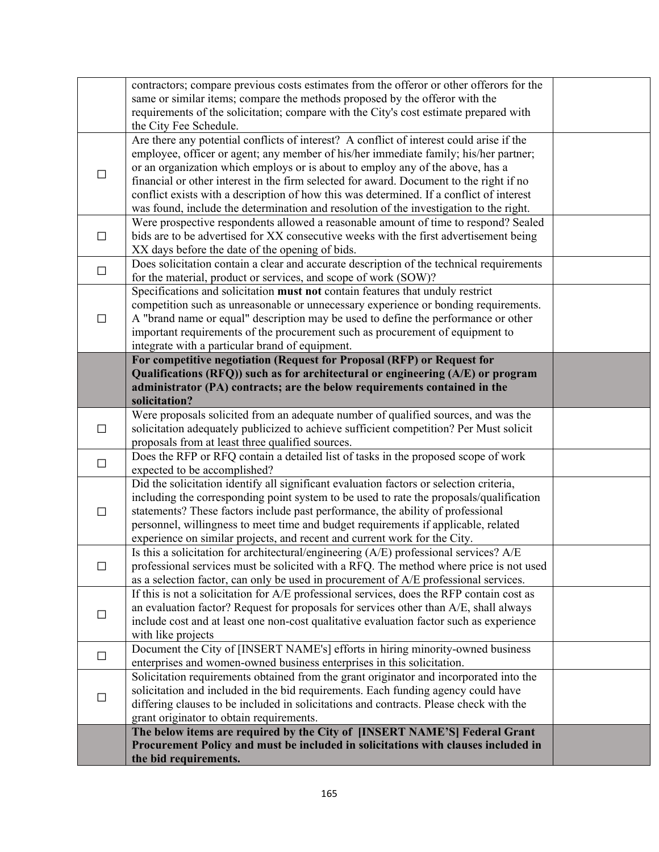|        | contractors; compare previous costs estimates from the offeror or other offerors for the<br>same or similar items; compare the methods proposed by the offeror with the<br>requirements of the solicitation; compare with the City's cost estimate prepared with                                                                                                                                                                                                                                                                                    |  |
|--------|-----------------------------------------------------------------------------------------------------------------------------------------------------------------------------------------------------------------------------------------------------------------------------------------------------------------------------------------------------------------------------------------------------------------------------------------------------------------------------------------------------------------------------------------------------|--|
|        | the City Fee Schedule.                                                                                                                                                                                                                                                                                                                                                                                                                                                                                                                              |  |
| $\Box$ | Are there any potential conflicts of interest? A conflict of interest could arise if the<br>employee, officer or agent; any member of his/her immediate family; his/her partner;<br>or an organization which employs or is about to employ any of the above, has a<br>financial or other interest in the firm selected for award. Document to the right if no<br>conflict exists with a description of how this was determined. If a conflict of interest<br>was found, include the determination and resolution of the investigation to the right. |  |
| $\Box$ | Were prospective respondents allowed a reasonable amount of time to respond? Sealed<br>bids are to be advertised for XX consecutive weeks with the first advertisement being<br>XX days before the date of the opening of bids.                                                                                                                                                                                                                                                                                                                     |  |
| $\Box$ | Does solicitation contain a clear and accurate description of the technical requirements<br>for the material, product or services, and scope of work (SOW)?                                                                                                                                                                                                                                                                                                                                                                                         |  |
| $\Box$ | Specifications and solicitation must not contain features that unduly restrict<br>competition such as unreasonable or unnecessary experience or bonding requirements.<br>A "brand name or equal" description may be used to define the performance or other<br>important requirements of the procurement such as procurement of equipment to<br>integrate with a particular brand of equipment.                                                                                                                                                     |  |
|        | For competitive negotiation (Request for Proposal (RFP) or Request for<br>Qualifications (RFQ)) such as for architectural or engineering (A/E) or program<br>administrator (PA) contracts; are the below requirements contained in the<br>solicitation?                                                                                                                                                                                                                                                                                             |  |
| $\Box$ | Were proposals solicited from an adequate number of qualified sources, and was the<br>solicitation adequately publicized to achieve sufficient competition? Per Must solicit<br>proposals from at least three qualified sources.                                                                                                                                                                                                                                                                                                                    |  |
| $\Box$ | Does the RFP or RFQ contain a detailed list of tasks in the proposed scope of work<br>expected to be accomplished?                                                                                                                                                                                                                                                                                                                                                                                                                                  |  |
| $\Box$ | Did the solicitation identify all significant evaluation factors or selection criteria,<br>including the corresponding point system to be used to rate the proposals/qualification<br>statements? These factors include past performance, the ability of professional<br>personnel, willingness to meet time and budget requirements if applicable, related<br>experience on similar projects, and recent and current work for the City.                                                                                                            |  |
| $\Box$ | Is this a solicitation for architectural/engineering (A/E) professional services? A/E<br>professional services must be solicited with a RFQ. The method where price is not used<br>as a selection factor, can only be used in procurement of A/E professional services.                                                                                                                                                                                                                                                                             |  |
| ப      | If this is not a solicitation for A/E professional services, does the RFP contain cost as<br>an evaluation factor? Request for proposals for services other than A/E, shall always<br>include cost and at least one non-cost qualitative evaluation factor such as experience<br>with like projects                                                                                                                                                                                                                                                 |  |
| $\Box$ | Document the City of [INSERT NAME's] efforts in hiring minority-owned business<br>enterprises and women-owned business enterprises in this solicitation.                                                                                                                                                                                                                                                                                                                                                                                            |  |
| $\Box$ | Solicitation requirements obtained from the grant originator and incorporated into the<br>solicitation and included in the bid requirements. Each funding agency could have<br>differing clauses to be included in solicitations and contracts. Please check with the<br>grant originator to obtain requirements.                                                                                                                                                                                                                                   |  |
|        | The below items are required by the City of [INSERT NAME'S] Federal Grant                                                                                                                                                                                                                                                                                                                                                                                                                                                                           |  |
|        | Procurement Policy and must be included in solicitations with clauses included in<br>the bid requirements.                                                                                                                                                                                                                                                                                                                                                                                                                                          |  |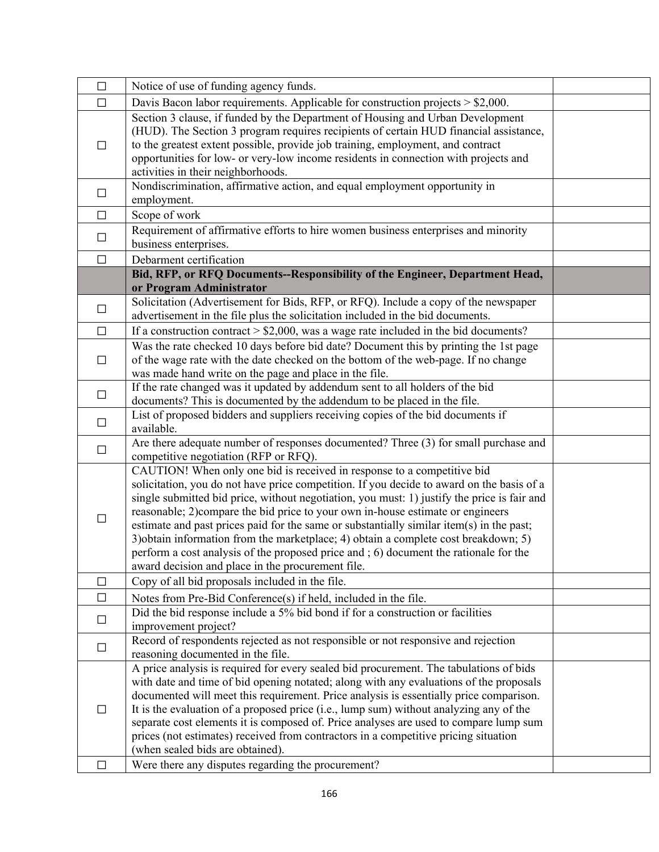| $\Box$ | Notice of use of funding agency funds.                                                                                                                                          |  |
|--------|---------------------------------------------------------------------------------------------------------------------------------------------------------------------------------|--|
| $\Box$ | Davis Bacon labor requirements. Applicable for construction projects > \$2,000.                                                                                                 |  |
|        | Section 3 clause, if funded by the Department of Housing and Urban Development                                                                                                  |  |
| П      | (HUD). The Section 3 program requires recipients of certain HUD financial assistance,                                                                                           |  |
|        | to the greatest extent possible, provide job training, employment, and contract                                                                                                 |  |
|        | opportunities for low- or very-low income residents in connection with projects and                                                                                             |  |
|        | activities in their neighborhoods.                                                                                                                                              |  |
| $\Box$ | Nondiscrimination, affirmative action, and equal employment opportunity in                                                                                                      |  |
|        | employment.                                                                                                                                                                     |  |
| $\Box$ | Scope of work                                                                                                                                                                   |  |
| $\Box$ | Requirement of affirmative efforts to hire women business enterprises and minority                                                                                              |  |
|        | business enterprises.                                                                                                                                                           |  |
| $\Box$ | Debarment certification                                                                                                                                                         |  |
|        | Bid, RFP, or RFQ Documents--Responsibility of the Engineer, Department Head,                                                                                                    |  |
|        | or Program Administrator                                                                                                                                                        |  |
| $\Box$ | Solicitation (Advertisement for Bids, RFP, or RFQ). Include a copy of the newspaper                                                                                             |  |
|        | advertisement in the file plus the solicitation included in the bid documents.                                                                                                  |  |
| $\Box$ | If a construction contract $> $2,000$ , was a wage rate included in the bid documents?                                                                                          |  |
|        | Was the rate checked 10 days before bid date? Document this by printing the 1st page                                                                                            |  |
| $\Box$ | of the wage rate with the date checked on the bottom of the web-page. If no change                                                                                              |  |
|        | was made hand write on the page and place in the file.                                                                                                                          |  |
| $\Box$ | If the rate changed was it updated by addendum sent to all holders of the bid                                                                                                   |  |
|        | documents? This is documented by the addendum to be placed in the file.<br>List of proposed bidders and suppliers receiving copies of the bid documents if                      |  |
| $\Box$ | available.                                                                                                                                                                      |  |
|        | Are there adequate number of responses documented? Three (3) for small purchase and                                                                                             |  |
| $\Box$ | competitive negotiation (RFP or RFQ).                                                                                                                                           |  |
|        | CAUTION! When only one bid is received in response to a competitive bid                                                                                                         |  |
|        | solicitation, you do not have price competition. If you decide to award on the basis of a                                                                                       |  |
|        | single submitted bid price, without negotiation, you must: 1) justify the price is fair and                                                                                     |  |
|        | reasonable; 2) compare the bid price to your own in-house estimate or engineers                                                                                                 |  |
| П      | estimate and past prices paid for the same or substantially similar item(s) in the past;                                                                                        |  |
|        | 3) obtain information from the marketplace; 4) obtain a complete cost breakdown; 5)                                                                                             |  |
|        | perform a cost analysis of the proposed price and ; 6) document the rationale for the                                                                                           |  |
|        | award decision and place in the procurement file.                                                                                                                               |  |
| П      | Copy of all bid proposals included in the file.                                                                                                                                 |  |
| $\Box$ | Notes from Pre-Bid Conference(s) if held, included in the file.                                                                                                                 |  |
| $\Box$ | Did the bid response include a 5% bid bond if for a construction or facilities                                                                                                  |  |
|        | improvement project?                                                                                                                                                            |  |
| $\Box$ | Record of respondents rejected as not responsible or not responsive and rejection                                                                                               |  |
|        | reasoning documented in the file.                                                                                                                                               |  |
| $\Box$ | A price analysis is required for every sealed bid procurement. The tabulations of bids                                                                                          |  |
|        | with date and time of bid opening notated; along with any evaluations of the proposals                                                                                          |  |
|        | documented will meet this requirement. Price analysis is essentially price comparison.                                                                                          |  |
|        | It is the evaluation of a proposed price (i.e., lump sum) without analyzing any of the<br>separate cost elements it is composed of. Price analyses are used to compare lump sum |  |
|        | prices (not estimates) received from contractors in a competitive pricing situation                                                                                             |  |
|        | (when sealed bids are obtained).                                                                                                                                                |  |
| $\Box$ | Were there any disputes regarding the procurement?                                                                                                                              |  |
|        |                                                                                                                                                                                 |  |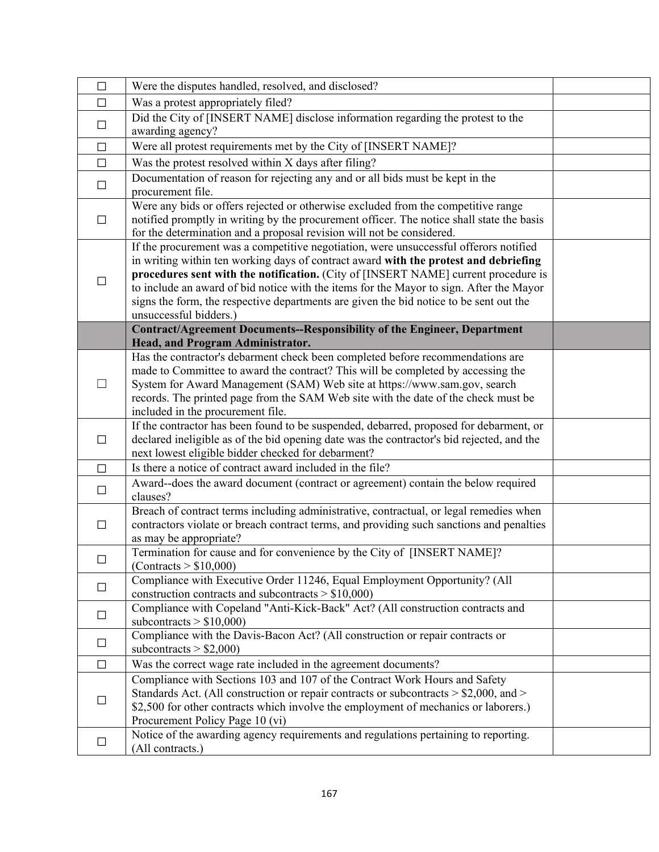| $\Box$ | Were the disputes handled, resolved, and disclosed?                                                                                                                                                                                                                                                                                                                                                                                                                                |  |
|--------|------------------------------------------------------------------------------------------------------------------------------------------------------------------------------------------------------------------------------------------------------------------------------------------------------------------------------------------------------------------------------------------------------------------------------------------------------------------------------------|--|
| $\Box$ | Was a protest appropriately filed?                                                                                                                                                                                                                                                                                                                                                                                                                                                 |  |
| $\Box$ | Did the City of [INSERT NAME] disclose information regarding the protest to the                                                                                                                                                                                                                                                                                                                                                                                                    |  |
|        | awarding agency?                                                                                                                                                                                                                                                                                                                                                                                                                                                                   |  |
| $\Box$ | Were all protest requirements met by the City of [INSERT NAME]?                                                                                                                                                                                                                                                                                                                                                                                                                    |  |
| $\Box$ | Was the protest resolved within X days after filing?                                                                                                                                                                                                                                                                                                                                                                                                                               |  |
| $\Box$ | Documentation of reason for rejecting any and or all bids must be kept in the<br>procurement file.                                                                                                                                                                                                                                                                                                                                                                                 |  |
| $\Box$ | Were any bids or offers rejected or otherwise excluded from the competitive range<br>notified promptly in writing by the procurement officer. The notice shall state the basis<br>for the determination and a proposal revision will not be considered.                                                                                                                                                                                                                            |  |
| $\Box$ | If the procurement was a competitive negotiation, were unsuccessful offerors notified<br>in writing within ten working days of contract award with the protest and debriefing<br>procedures sent with the notification. (City of [INSERT NAME] current procedure is<br>to include an award of bid notice with the items for the Mayor to sign. After the Mayor<br>signs the form, the respective departments are given the bid notice to be sent out the<br>unsuccessful bidders.) |  |
|        | Contract/Agreement Documents--Responsibility of the Engineer, Department<br>Head, and Program Administrator.                                                                                                                                                                                                                                                                                                                                                                       |  |
| $\Box$ | Has the contractor's debarment check been completed before recommendations are<br>made to Committee to award the contract? This will be completed by accessing the<br>System for Award Management (SAM) Web site at https://www.sam.gov, search<br>records. The printed page from the SAM Web site with the date of the check must be                                                                                                                                              |  |
|        | included in the procurement file.                                                                                                                                                                                                                                                                                                                                                                                                                                                  |  |
| $\Box$ | If the contractor has been found to be suspended, debarred, proposed for debarment, or<br>declared ineligible as of the bid opening date was the contractor's bid rejected, and the<br>next lowest eligible bidder checked for debarment?                                                                                                                                                                                                                                          |  |
| $\Box$ | Is there a notice of contract award included in the file?                                                                                                                                                                                                                                                                                                                                                                                                                          |  |
| $\Box$ | Award--does the award document (contract or agreement) contain the below required<br>clauses?                                                                                                                                                                                                                                                                                                                                                                                      |  |
| □      | Breach of contract terms including administrative, contractual, or legal remedies when<br>contractors violate or breach contract terms, and providing such sanctions and penalties<br>as may be appropriate?                                                                                                                                                                                                                                                                       |  |
|        | Termination for cause and for convenience by the City of [INSERT NAME]?<br>(Contracts > \$10,000)                                                                                                                                                                                                                                                                                                                                                                                  |  |
| $\Box$ | Compliance with Executive Order 11246, Equal Employment Opportunity? (All<br>construction contracts and subcontracts $> $10,000$ )                                                                                                                                                                                                                                                                                                                                                 |  |
| $\Box$ | Compliance with Copeland "Anti-Kick-Back" Act? (All construction contracts and<br>subcontracts $> $10,000$                                                                                                                                                                                                                                                                                                                                                                         |  |
| $\Box$ | Compliance with the Davis-Bacon Act? (All construction or repair contracts or<br>subcontracts $> $2,000$                                                                                                                                                                                                                                                                                                                                                                           |  |
| $\Box$ | Was the correct wage rate included in the agreement documents?                                                                                                                                                                                                                                                                                                                                                                                                                     |  |
| $\Box$ | Compliance with Sections 103 and 107 of the Contract Work Hours and Safety<br>Standards Act. (All construction or repair contracts or subcontracts > \$2,000, and ><br>\$2,500 for other contracts which involve the employment of mechanics or laborers.)<br>Procurement Policy Page 10 (vi)                                                                                                                                                                                      |  |
| $\Box$ | Notice of the awarding agency requirements and regulations pertaining to reporting.<br>(All contracts.)                                                                                                                                                                                                                                                                                                                                                                            |  |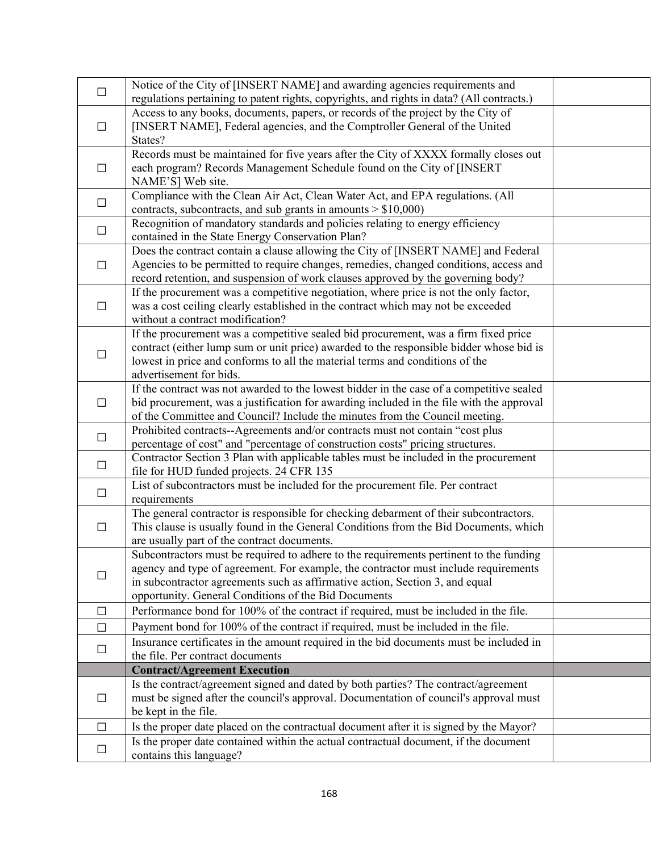| $\Box$ | Notice of the City of [INSERT NAME] and awarding agencies requirements and<br>regulations pertaining to patent rights, copyrights, and rights in data? (All contracts.)                                                                                                                                               |  |
|--------|-----------------------------------------------------------------------------------------------------------------------------------------------------------------------------------------------------------------------------------------------------------------------------------------------------------------------|--|
| $\Box$ | Access to any books, documents, papers, or records of the project by the City of<br>[INSERT NAME], Federal agencies, and the Comptroller General of the United<br>States?                                                                                                                                             |  |
| $\Box$ | Records must be maintained for five years after the City of XXXX formally closes out<br>each program? Records Management Schedule found on the City of [INSERT<br>NAME'S] Web site.                                                                                                                                   |  |
| $\Box$ | Compliance with the Clean Air Act, Clean Water Act, and EPA regulations. (All<br>contracts, subcontracts, and sub grants in amounts $> $10,000$ )                                                                                                                                                                     |  |
| $\Box$ | Recognition of mandatory standards and policies relating to energy efficiency<br>contained in the State Energy Conservation Plan?                                                                                                                                                                                     |  |
| $\Box$ | Does the contract contain a clause allowing the City of [INSERT NAME] and Federal<br>Agencies to be permitted to require changes, remedies, changed conditions, access and<br>record retention, and suspension of work clauses approved by the governing body?                                                        |  |
| $\Box$ | If the procurement was a competitive negotiation, where price is not the only factor,<br>was a cost ceiling clearly established in the contract which may not be exceeded<br>without a contract modification?                                                                                                         |  |
| $\Box$ | If the procurement was a competitive sealed bid procurement, was a firm fixed price<br>contract (either lump sum or unit price) awarded to the responsible bidder whose bid is<br>lowest in price and conforms to all the material terms and conditions of the<br>advertisement for bids.                             |  |
| $\Box$ | If the contract was not awarded to the lowest bidder in the case of a competitive sealed<br>bid procurement, was a justification for awarding included in the file with the approval<br>of the Committee and Council? Include the minutes from the Council meeting.                                                   |  |
| $\Box$ | Prohibited contracts--Agreements and/or contracts must not contain "cost plus<br>percentage of cost" and "percentage of construction costs" pricing structures.                                                                                                                                                       |  |
| $\Box$ | Contractor Section 3 Plan with applicable tables must be included in the procurement<br>file for HUD funded projects. 24 CFR 135                                                                                                                                                                                      |  |
| $\Box$ | List of subcontractors must be included for the procurement file. Per contract<br>requirements                                                                                                                                                                                                                        |  |
| $\Box$ | The general contractor is responsible for checking debarment of their subcontractors.<br>This clause is usually found in the General Conditions from the Bid Documents, which<br>are usually part of the contract documents.                                                                                          |  |
| $\Box$ | Subcontractors must be required to adhere to the requirements pertinent to the funding<br>agency and type of agreement. For example, the contractor must include requirements<br>in subcontractor agreements such as affirmative action, Section 3, and equal<br>opportunity. General Conditions of the Bid Documents |  |
| $\Box$ | Performance bond for 100% of the contract if required, must be included in the file.                                                                                                                                                                                                                                  |  |
| $\Box$ | Payment bond for 100% of the contract if required, must be included in the file.                                                                                                                                                                                                                                      |  |
| $\Box$ | Insurance certificates in the amount required in the bid documents must be included in<br>the file. Per contract documents                                                                                                                                                                                            |  |
|        | <b>Contract/Agreement Execution</b>                                                                                                                                                                                                                                                                                   |  |
| $\Box$ | Is the contract/agreement signed and dated by both parties? The contract/agreement<br>must be signed after the council's approval. Documentation of council's approval must<br>be kept in the file.                                                                                                                   |  |
| $\Box$ | Is the proper date placed on the contractual document after it is signed by the Mayor?                                                                                                                                                                                                                                |  |
| $\Box$ | Is the proper date contained within the actual contractual document, if the document<br>contains this language?                                                                                                                                                                                                       |  |